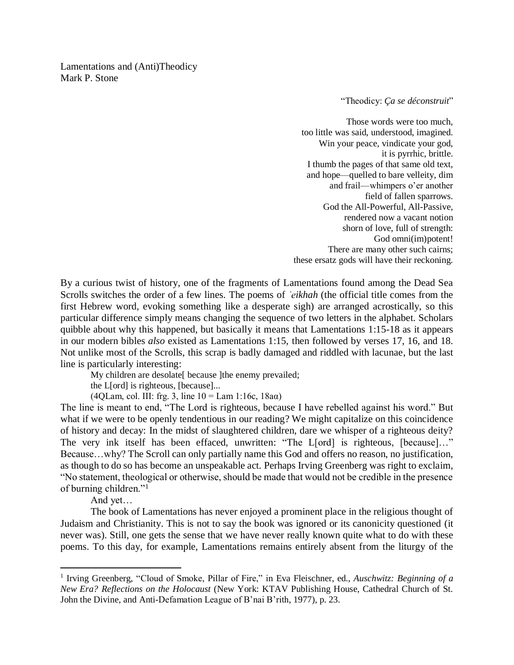Lamentations and (Anti)Theodicy Mark P. Stone

"Theodicy: *Ça se déconstruit*"

Those words were too much, too little was said, understood, imagined. Win your peace, vindicate your god, it is pyrrhic, brittle. I thumb the pages of that same old text, and hope—quelled to bare velleity, dim and frail—whimpers o'er another field of fallen sparrows. God the All-Powerful, All-Passive, rendered now a vacant notion shorn of love, full of strength: God omni(im)potent! There are many other such cairns; these ersatz gods will have their reckoning.

By a curious twist of history, one of the fragments of Lamentations found among the Dead Sea Scrolls switches the order of a few lines. The poems of *ʾeikhah* (the official title comes from the first Hebrew word, evoking something like a desperate sigh) are arranged acrostically, so this particular difference simply means changing the sequence of two letters in the alphabet. Scholars quibble about why this happened, but basically it means that Lamentations 1:15-18 as it appears in our modern bibles *also* existed as Lamentations 1:15, then followed by verses 17, 16, and 18. Not unlike most of the Scrolls, this scrap is badly damaged and riddled with lacunae, but the last line is particularly interesting:

My children are desolate[ because ]the enemy prevailed;

the L[ord] is righteous, [because]...

(4QLam, col. III: frg. 3, line  $10 =$  Lam 1:16c, 18a $\alpha$ )

The line is meant to end, "The Lord is righteous, because I have rebelled against his word." But what if we were to be openly tendentious in our reading? We might capitalize on this coincidence of history and decay: In the midst of slaughtered children, dare we whisper of a righteous deity? The very ink itself has been effaced, unwritten: "The L[ord] is righteous, [because]…" Because…why? The Scroll can only partially name this God and offers no reason, no justification, as though to do so has become an unspeakable act. Perhaps Irving Greenberg was right to exclaim, "No statement, theological or otherwise, should be made that would not be credible in the presence of burning children."<sup>1</sup>

And yet…

 $\overline{a}$ 

The book of Lamentations has never enjoyed a prominent place in the religious thought of Judaism and Christianity. This is not to say the book was ignored or its canonicity questioned (it never was). Still, one gets the sense that we have never really known quite what to do with these poems. To this day, for example, Lamentations remains entirely absent from the liturgy of the

<sup>&</sup>lt;sup>1</sup> Irving Greenberg, "Cloud of Smoke, Pillar of Fire," in Eva Fleischner, ed., *Auschwitz: Beginning of a New Era? Reflections on the Holocaust* (New York: KTAV Publishing House, Cathedral Church of St. John the Divine, and Anti-Defamation League of B'nai B'rith, 1977), p. 23.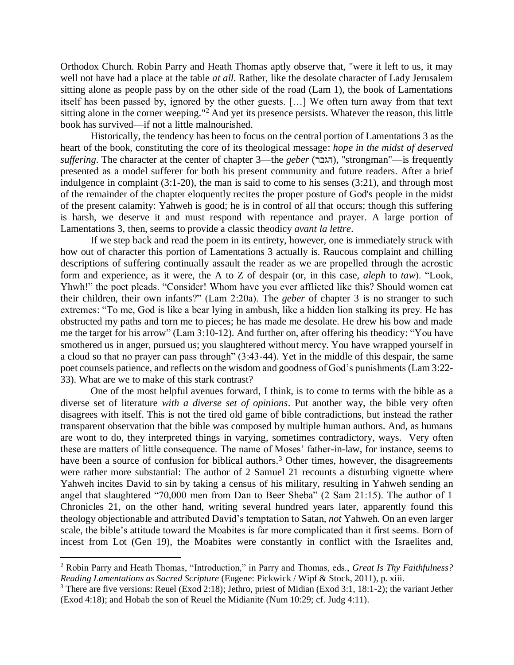Orthodox Church. Robin Parry and Heath Thomas aptly observe that, "were it left to us, it may well not have had a place at the table *at all*. Rather, like the desolate character of Lady Jerusalem sitting alone as people pass by on the other side of the road (Lam 1), the book of Lamentations itself has been passed by, ignored by the other guests. […] We often turn away from that text sitting alone in the corner weeping."<sup>2</sup> And yet its presence persists. Whatever the reason, this little book has survived—if not a little malnourished.

Historically, the tendency has been to focus on the central portion of Lamentations 3 as the heart of the book, constituting the core of its theological message: *hope in the midst of deserved suffering*. The character at the center of chapter 3—the *geber* (הגבר), "strongman"—is frequently presented as a model sufferer for both his present community and future readers. After a brief indulgence in complaint (3:1-20), the man is said to come to his senses (3:21), and through most of the remainder of the chapter eloquently recites the proper posture of God's people in the midst of the present calamity: Yahweh is good; he is in control of all that occurs; though this suffering is harsh, we deserve it and must respond with repentance and prayer. A large portion of Lamentations 3, then, seems to provide a classic theodicy *avant la lettre*.

If we step back and read the poem in its entirety, however, one is immediately struck with how out of character this portion of Lamentations 3 actually is. Raucous complaint and chilling descriptions of suffering continually assault the reader as we are propelled through the acrostic form and experience, as it were, the A to Z of despair (or, in this case, *aleph* to *taw*). "Look, Yhwh!" the poet pleads. "Consider! Whom have you ever afflicted like this? Should women eat their children, their own infants?" (Lam 2:20a). The *geber* of chapter 3 is no stranger to such extremes: "To me, God is like a bear lying in ambush, like a hidden lion stalking its prey. He has obstructed my paths and torn me to pieces; he has made me desolate. He drew his bow and made me the target for his arrow" (Lam 3:10-12). And further on, after offering his theodicy: "You have smothered us in anger, pursued us; you slaughtered without mercy. You have wrapped yourself in a cloud so that no prayer can pass through" (3:43-44). Yet in the middle of this despair, the same poet counsels patience, and reflects on the wisdom and goodness of God's punishments (Lam 3:22- 33). What are we to make of this stark contrast?

One of the most helpful avenues forward, I think, is to come to terms with the bible as a diverse set of literature *with a diverse set of opinions*. Put another way, the bible very often disagrees with itself. This is not the tired old game of bible contradictions, but instead the rather transparent observation that the bible was composed by multiple human authors. And, as humans are wont to do, they interpreted things in varying, sometimes contradictory, ways. Very often these are matters of little consequence. The name of Moses' father-in-law, for instance, seems to have been a source of confusion for biblical authors.<sup>3</sup> Other times, however, the disagreements were rather more substantial: The author of 2 Samuel 21 recounts a disturbing vignette where Yahweh incites David to sin by taking a census of his military, resulting in Yahweh sending an angel that slaughtered "70,000 men from Dan to Beer Sheba" (2 Sam 21:15). The author of 1 Chronicles 21, on the other hand, writing several hundred years later, apparently found this theology objectionable and attributed David's temptation to Satan, *not* Yahweh. On an even larger scale, the bible's attitude toward the Moabites is far more complicated than it first seems. Born of incest from Lot (Gen 19), the Moabites were constantly in conflict with the Israelites and,

 $\overline{a}$ 

<sup>2</sup> Robin Parry and Heath Thomas, "Introduction," in Parry and Thomas, eds., *Great Is Thy Faithfulness? Reading Lamentations as Sacred Scripture* (Eugene: Pickwick / Wipf & Stock, 2011), p. xiii.

<sup>&</sup>lt;sup>3</sup> There are five versions: Reuel (Exod 2:18); Jethro, priest of Midian (Exod 3:1, 18:1-2); the variant Jether (Exod 4:18); and Hobab the son of Reuel the Midianite (Num 10:29; cf. Judg 4:11).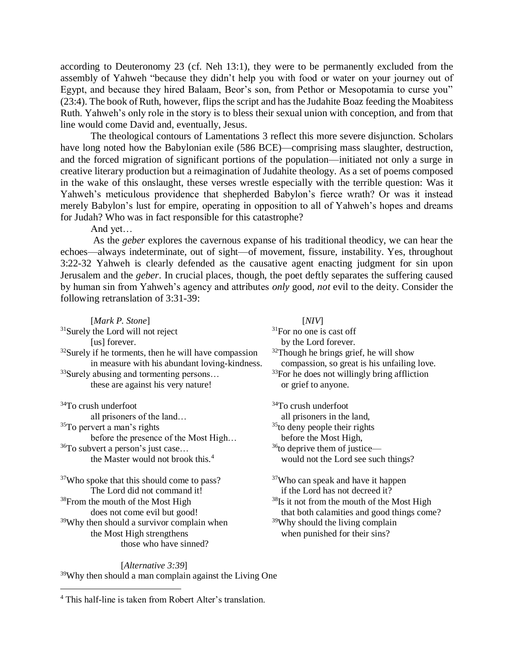according to Deuteronomy 23 (cf. Neh 13:1), they were to be permanently excluded from the assembly of Yahweh "because they didn't help you with food or water on your journey out of Egypt, and because they hired Balaam, Beor's son, from Pethor or Mesopotamia to curse you"  $(23:4)$ . The book of Ruth, however, flips the script and has the Judahite Boaz feeding the Moabitess Ruth. Yahweh's only role in the story is to bless their sexual union with conception, and from that line would come David and, eventually, Jesus.

The theological contours of Lamentations 3 reflect this more severe disjunction. Scholars have long noted how the Babylonian exile (586 BCE)—comprising mass slaughter, destruction, and the forced migration of significant portions of the population—initiated not only a surge in creative literary production but a reimagination of Judahite theology. As a set of poems composed in the wake of this onslaught, these verses wrestle especially with the terrible question: Was it Yahweh's meticulous providence that shepherded Babylon's fierce wrath? Or was it instead merely Babylon's lust for empire, operating in opposition to all of Yahweh's hopes and dreams for Judah? Who was in fact responsible for this catastrophe?

And yet…

As the *geber* explores the cavernous expanse of his traditional theodicy, we can hear the echoes—always indeterminate, out of sight—of movement, fissure, instability. Yes, throughout 3:22-32 Yahweh is clearly defended as the causative agent enacting judgment for sin upon Jerusalem and the *geber*. In crucial places, though, the poet deftly separates the suffering caused by human sin from Yahweh's agency and attributes *only* good, *not* evil to the deity. Consider the following retranslation of 3:31-39:

| [Mark P. Stone]                                                                                                    | [NIV]                                                                                    |
|--------------------------------------------------------------------------------------------------------------------|------------------------------------------------------------------------------------------|
| <sup>31</sup> Surely the Lord will not reject                                                                      | $31$ For no one is cast off                                                              |
| [us] forever.                                                                                                      | by the Lord forever.                                                                     |
| <sup>32</sup> Surely if he torments, then he will have compassion<br>in measure with his abundant loving-kindness. | $32$ Though he brings grief, he will show<br>compassion, so great is his unfailing love. |
| <sup>33</sup> Surely abusing and tormenting persons                                                                | $33$ For he does not willingly bring affliction                                          |
| these are against his very nature!                                                                                 | or grief to anyone.                                                                      |
| <sup>34</sup> To crush underfoot                                                                                   | <sup>34</sup> To crush underfoot                                                         |
| all prisoners of the land                                                                                          | all prisoners in the land,                                                               |
| <sup>35</sup> To pervert a man's rights                                                                            | <sup>35</sup> to deny people their rights                                                |
| before the presence of the Most High                                                                               | before the Most High,                                                                    |
| <sup>36</sup> To subvert a person's just case                                                                      | $36$ to deprive them of justice—                                                         |
| the Master would not brook this. <sup>4</sup>                                                                      | would not the Lord see such things?                                                      |
| <sup>37</sup> Who spoke that this should come to pass?                                                             | <sup>37</sup> Who can speak and have it happen                                           |
| The Lord did not command it!                                                                                       | if the Lord has not decreed it?                                                          |
| <sup>38</sup> From the mouth of the Most High                                                                      | <sup>38</sup> Is it not from the mouth of the Most High                                  |
| does not come evil but good!                                                                                       | that both calamities and good things come?                                               |
| <sup>39</sup> Why then should a survivor complain when                                                             | <sup>39</sup> Why should the living complain                                             |
| the Most High strengthens                                                                                          | when punished for their sins?                                                            |
| those who have sinned?                                                                                             |                                                                                          |

[*Alternative 3:39*] <sup>39</sup>Why then should a man complain against the Living One

 $\overline{a}$ 

<sup>4</sup> This half-line is taken from Robert Alter's translation.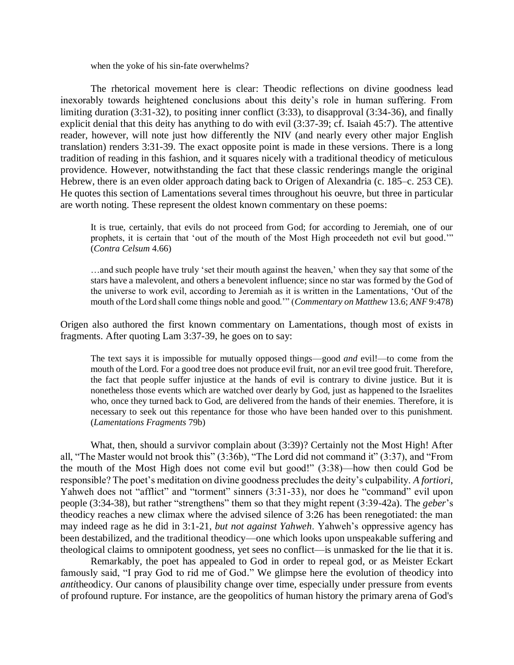when the yoke of his sin-fate overwhelms?

The rhetorical movement here is clear: Theodic reflections on divine goodness lead inexorably towards heightened conclusions about this deity's role in human suffering. From limiting duration (3:31-32), to positing inner conflict (3:33), to disapproval (3:34-36), and finally explicit denial that this deity has anything to do with evil (3:37-39; cf. Isaiah 45:7). The attentive reader, however, will note just how differently the NIV (and nearly every other major English translation) renders 3:31-39. The exact opposite point is made in these versions. There is a long tradition of reading in this fashion, and it squares nicely with a traditional theodicy of meticulous providence. However, notwithstanding the fact that these classic renderings mangle the original Hebrew, there is an even older approach dating back to Origen of Alexandria (c. 185–c. 253 CE). He quotes this section of Lamentations several times throughout his oeuvre, but three in particular are worth noting. These represent the oldest known commentary on these poems:

It is true, certainly, that evils do not proceed from God; for according to Jeremiah, one of our prophets, it is certain that 'out of the mouth of the Most High proceedeth not evil but good.'" (*Contra Celsum* 4.66)

…and such people have truly 'set their mouth against the heaven,' when they say that some of the stars have a malevolent, and others a benevolent influence; since no star was formed by the God of the universe to work evil, according to Jeremiah as it is written in the Lamentations, 'Out of the mouth of the Lord shall come things noble and good.'" (*Commentary on Matthew* 13.6; *ANF* 9:478)

Origen also authored the first known commentary on Lamentations, though most of exists in fragments. After quoting Lam 3:37-39, he goes on to say:

The text says it is impossible for mutually opposed things—good *and* evil!—to come from the mouth of the Lord. For a good tree does not produce evil fruit, nor an evil tree good fruit. Therefore, the fact that people suffer injustice at the hands of evil is contrary to divine justice. But it is nonetheless those events which are watched over dearly by God, just as happened to the Israelites who, once they turned back to God, are delivered from the hands of their enemies. Therefore, it is necessary to seek out this repentance for those who have been handed over to this punishment. (*Lamentations Fragments* 79b)

What, then, should a survivor complain about (3:39)? Certainly not the Most High! After all, "The Master would not brook this" (3:36b), "The Lord did not command it" (3:37), and "From the mouth of the Most High does not come evil but good!" (3:38)—how then could God be responsible? The poet's meditation on divine goodness precludes the deity's culpability. *A fortiori*, Yahweh does not "afflict" and "torment" sinners (3:31-33), nor does he "command" evil upon people (3:34-38), but rather "strengthens" them so that they might repent (3:39-42a). The *geber*'s theodicy reaches a new climax where the advised silence of 3:26 has been renegotiated: the man may indeed rage as he did in 3:1-21, *but not against Yahweh*. Yahweh's oppressive agency has been destabilized, and the traditional theodicy—one which looks upon unspeakable suffering and theological claims to omnipotent goodness, yet sees no conflict—is unmasked for the lie that it is.

Remarkably, the poet has appealed to God in order to repeal god, or as Meister Eckart famously said, "I pray God to rid me of God." We glimpse here the evolution of theodicy into *anti*theodicy. Our canons of plausibility change over time, especially under pressure from events of profound rupture. For instance, are the geopolitics of human history the primary arena of God's